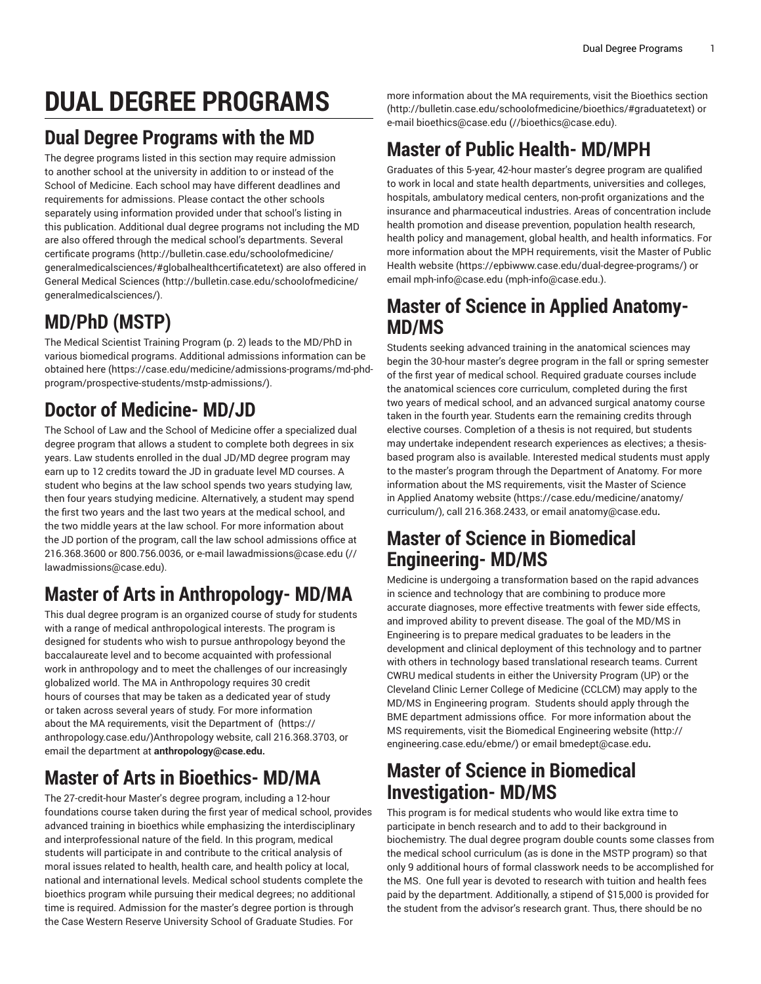# **DUAL DEGREE PROGRAMS**

# **Dual Degree Programs with the MD**

The degree programs listed in this section may require admission to another school at the university in addition to or instead of the School of Medicine. Each school may have different deadlines and requirements for admissions. Please contact the other schools separately using information provided under that school's listing in this publication. Additional dual degree programs not including the MD are also offered through the medical school's departments. Several [certificate](http://bulletin.case.edu/schoolofmedicine/generalmedicalsciences/#globalhealthcertificatetext) programs [\(http://bulletin.case.edu/schoolofmedicine/](http://bulletin.case.edu/schoolofmedicine/generalmedicalsciences/#globalhealthcertificatetext) [generalmedicalsciences/#globalhealthcertificatetext\)](http://bulletin.case.edu/schoolofmedicine/generalmedicalsciences/#globalhealthcertificatetext) are also offered in [General Medical Sciences \(http://bulletin.case.edu/schoolofmedicine/](http://bulletin.case.edu/schoolofmedicine/generalmedicalsciences/) [generalmedicalsciences/](http://bulletin.case.edu/schoolofmedicine/generalmedicalsciences/)).

# **MD/PhD (MSTP)**

The Medical [Scientist](#page-1-0) Training Program [\(p. 2\)](#page-1-0) leads to the MD/PhD in various biomedical programs. Additional admissions information can be obtained [here](https://case.edu/medicine/admissions-programs/md-phd-program/prospective-students/mstp-admissions/) ([https://case.edu/medicine/admissions-programs/md-phd](https://case.edu/medicine/admissions-programs/md-phd-program/prospective-students/mstp-admissions/)[program/prospective-students/mstp-admissions/](https://case.edu/medicine/admissions-programs/md-phd-program/prospective-students/mstp-admissions/)).

# **Doctor of Medicine- MD/JD**

The School of Law and the School of Medicine offer a specialized dual degree program that allows a student to complete both degrees in six years. Law students enrolled in the dual JD/MD degree program may earn up to 12 credits toward the JD in graduate level MD courses. A student who begins at the law school spends two years studying law, then four years studying medicine. Alternatively, a student may spend the first two years and the last two years at the medical school, and the two middle years at the law school. For more information about the JD portion of the program, call the law school admissions office at 216.368.3600 or 800.756.0036, or e-mail [lawadmissions@case.edu](mailto://lawadmissions@case.edu) ([//](//lawadmissions@case.edu) [lawadmissions@case.edu\)](//lawadmissions@case.edu).

# **Master of Arts in Anthropology- MD/MA**

This dual degree program is an organized course of study for students with a range of medical anthropological interests. The program is designed for students who wish to pursue anthropology beyond the baccalaureate level and to become acquainted with professional work in anthropology and to meet the challenges of our increasingly globalized world. The MA in Anthropology requires 30 credit hours of courses that may be taken as a dedicated year of study or taken across several years of study. For more information about the MA requirements, visit the [Department](https://anthropology.case.edu/) of ([https://](https://anthropology.case.edu/) [anthropology.case.edu/\)](https://anthropology.case.edu/)Anthropology website, call 216.368.3703, or email the department at **anthropology@case.edu.**

# **Master of Arts in Bioethics- MD/MA**

The 27-credit-hour Master's degree program, including a 12-hour foundations course taken during the first year of medical school, provides advanced training in bioethics while emphasizing the interdisciplinary and interprofessional nature of the field. In this program, medical students will participate in and contribute to the critical analysis of moral issues related to health, health care, and health policy at local, national and international levels. Medical school students complete the bioethics program while pursuing their medical degrees; no additional time is required. Admission for the master's degree portion is through the Case Western Reserve University School of Graduate Studies. For

more information about the MA requirements, visit the [Bioethics section](http://bulletin.case.edu/schoolofmedicine/bioethics/#graduatetext) [\(http://bulletin.case.edu/schoolofmedicine/bioethics/#graduatetext\)](http://bulletin.case.edu/schoolofmedicine/bioethics/#graduatetext) or e-mail [bioethics@case.edu](mailto://bioethics@case.edu) ([//bioethics@case.edu\)](//bioethics@case.edu).

# **Master of Public Health- MD/MPH**

Graduates of this 5-year, 42-hour master's degree program are qualified to work in local and state health departments, universities and colleges, hospitals, ambulatory medical centers, non-profit organizations and the insurance and pharmaceutical industries. Areas of concentration include health promotion and disease prevention, population health research, health policy and management, global health, and health informatics. For more information about the MPH requirements, visit the [Master of Public](https://epbiwww.case.edu/dual-degree-programs/) [Health website](https://epbiwww.case.edu/dual-degree-programs/) (<https://epbiwww.case.edu/dual-degree-programs/>) or email [mph-info@case.edu](mailto:mph-info@case.edu.) [\(mph-info@case.edu.](mph-info@case.edu.)).

## **Master of Science in Applied Anatomy-MD/MS**

Students seeking advanced training in the anatomical sciences may begin the 30-hour master's degree program in the fall or spring semester of the first year of medical school. Required graduate courses include the anatomical sciences core curriculum, completed during the first two years of medical school, and an advanced surgical anatomy course taken in the fourth year. Students earn the remaining credits through elective courses. Completion of a thesis is not required, but students may undertake independent research experiences as electives; a thesisbased program also is available. Interested medical students must apply to the master's program through the Department of Anatomy. For more information about the MS requirements, visit the [Master of Science](https://case.edu/medicine/anatomy/curriculum/) [in Applied Anatomy website](https://case.edu/medicine/anatomy/curriculum/) ([https://case.edu/medicine/anatomy/](https://case.edu/medicine/anatomy/curriculum/) [curriculum/](https://case.edu/medicine/anatomy/curriculum/)), call 216.368.2433, or email [anatomy@case.edu](mailto:anatomy@case.edu)**.**

# **Master of Science in Biomedical Engineering- MD/MS**

Medicine is undergoing a transformation based on the rapid advances in science and technology that are combining to produce more accurate diagnoses, more effective treatments with fewer side effects, and improved ability to prevent disease. The goal of the MD/MS in Engineering is to prepare medical graduates to be leaders in the development and clinical deployment of this technology and to partner with others in technology based translational research teams. Current CWRU medical students in either the University Program (UP) or the Cleveland Clinic Lerner College of Medicine (CCLCM) may apply to the MD/MS in Engineering program. Students should apply through the BME department admissions office. For more information about the MS requirements, visit the [Biomedical Engineering website \(http://](http://engineering.case.edu/ebme/) [engineering.case.edu/ebme/\)](http://engineering.case.edu/ebme/) or email [bmedept@case.edu](mailto:bmedept@case.edu)**.**

# **Master of Science in Biomedical Investigation- MD/MS**

This program is for medical students who would like extra time to participate in bench research and to add to their background in biochemistry. The dual degree program double counts some classes from the medical school curriculum (as is done in the MSTP program) so that only 9 additional hours of formal classwork needs to be accomplished for the MS. One full year is devoted to research with tuition and health fees paid by the department. Additionally, a stipend of \$15,000 is provided for the student from the advisor's research grant. Thus, there should be no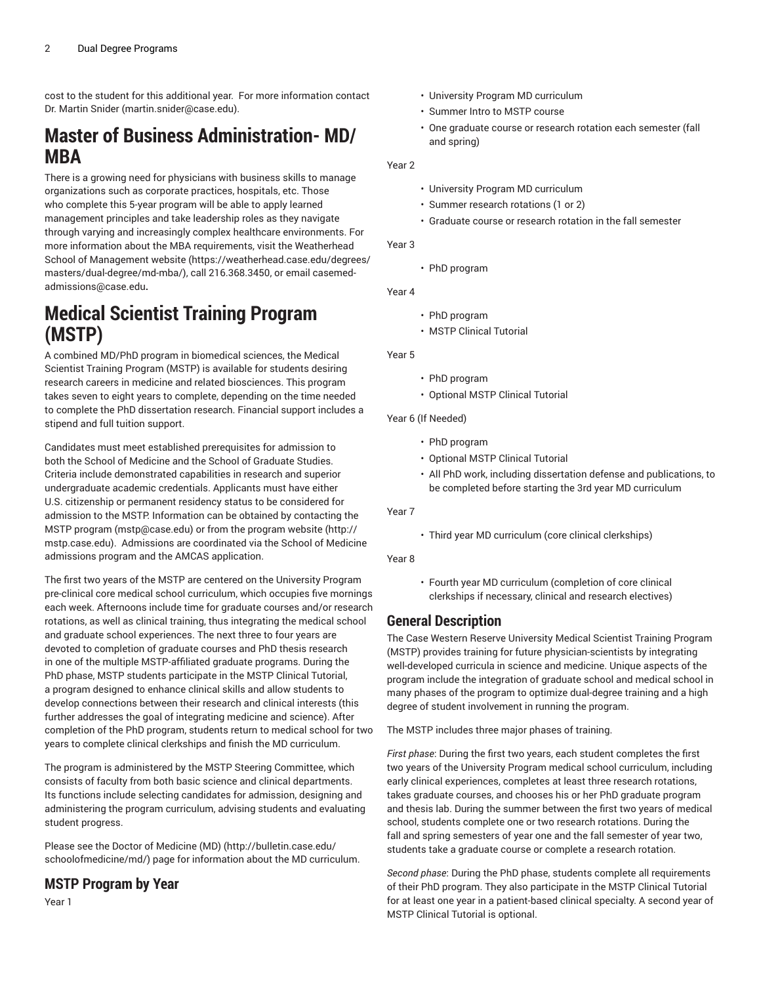cost to the student for this additional year. For more information contact Dr. [Martin](mailto:martin.snider@case.edu) Snider (<martin.snider@case.edu>).

## **Master of Business Administration- MD/ MBA**

There is a growing need for physicians with business skills to manage organizations such as corporate practices, hospitals, etc. Those who complete this 5-year program will be able to apply learned management principles and take leadership roles as they navigate through varying and increasingly complex healthcare environments. For more information about the MBA requirements, visit the [Weatherhead](https://weatherhead.case.edu/degrees/masters/dual-degree/md-mba/) [School of Management website \(https://weatherhead.case.edu/degrees/](https://weatherhead.case.edu/degrees/masters/dual-degree/md-mba/) [masters/dual-degree/md-mba/](https://weatherhead.case.edu/degrees/masters/dual-degree/md-mba/)), call 216.368.3450, or email [casemed](mailto:casemed-admissions@case.edu)[admissions@case.edu](mailto:casemed-admissions@case.edu)**.**

## <span id="page-1-0"></span>**Medical Scientist Training Program (MSTP)**

A combined MD/PhD program in biomedical sciences, the Medical Scientist Training Program (MSTP) is available for students desiring research careers in medicine and related biosciences. This program takes seven to eight years to complete, depending on the time needed to complete the PhD dissertation research. Financial support includes a stipend and full tuition support.

Candidates must meet established prerequisites for admission to both the School of Medicine and the School of Graduate Studies. Criteria include demonstrated capabilities in research and superior undergraduate academic credentials. Applicants must have either U.S. citizenship or permanent residency status to be considered for admission to the MSTP. Information can be obtained by [contacting the](mailto:mstp@case.edu) MSTP [program](mailto:mstp@case.edu) ([mstp@case.edu\)](mstp@case.edu) or from the [program](http://mstp.case.edu) website [\(http://](http://mstp.case.edu) [mstp.case.edu](http://mstp.case.edu)). Admissions are coordinated via the School of Medicine admissions program and the AMCAS application.

The first two years of the MSTP are centered on the University Program pre-clinical core medical school curriculum, which occupies five mornings each week. Afternoons include time for graduate courses and/or research rotations, as well as clinical training, thus integrating the medical school and graduate school experiences. The next three to four years are devoted to completion of graduate courses and PhD thesis research in one of the multiple MSTP-affiliated graduate programs. During the PhD phase, MSTP students participate in the MSTP Clinical Tutorial, a program designed to enhance clinical skills and allow students to develop connections between their research and clinical interests (this further addresses the goal of integrating medicine and science). After completion of the PhD program, students return to medical school for two years to complete clinical clerkships and finish the MD curriculum.

The program is administered by the MSTP Steering Committee, which consists of faculty from both basic science and clinical departments. Its functions include selecting candidates for admission, designing and administering the program curriculum, advising students and evaluating student progress.

Please see the [Doctor of Medicine \(MD\)](http://bulletin.case.edu/schoolofmedicine/md/) ([http://bulletin.case.edu/](http://bulletin.case.edu/schoolofmedicine/md/) [schoolofmedicine/md/](http://bulletin.case.edu/schoolofmedicine/md/)) page for information about the MD curriculum.

## **MSTP Program by Year**

Year 1

- University Program MD curriculum
- Summer Intro to MSTP course
- One graduate course or research rotation each semester (fall and spring)
- Year 2
	- University Program MD curriculum
	- Summer research rotations (1 or 2)
	- Graduate course or research rotation in the fall semester

Year 3

• PhD program

Year 4

- PhD program
- MSTP Clinical Tutorial

Year 5

- PhD program
- Optional MSTP Clinical Tutorial

Year 6 (If Needed)

- PhD program
- Optional MSTP Clinical Tutorial
- All PhD work, including dissertation defense and publications, to be completed before starting the 3rd year MD curriculum

Year 7

• Third year MD curriculum (core clinical clerkships)

Year 8

• Fourth year MD curriculum (completion of core clinical clerkships if necessary, clinical and research electives)

## **General Description**

The Case Western Reserve University Medical Scientist Training Program (MSTP) provides training for future physician-scientists by integrating well-developed curricula in science and medicine. Unique aspects of the program include the integration of graduate school and medical school in many phases of the program to optimize dual-degree training and a high degree of student involvement in running the program.

The MSTP includes three major phases of training.

*First phase*: During the first two years, each student completes the first two years of the University Program medical school curriculum, including early clinical experiences, completes at least three research rotations, takes graduate courses, and chooses his or her PhD graduate program and thesis lab. During the summer between the first two years of medical school, students complete one or two research rotations. During the fall and spring semesters of year one and the fall semester of year two, students take a graduate course or complete a research rotation.

*Second phase*: During the PhD phase, students complete all requirements of their PhD program. They also participate in the MSTP Clinical Tutorial for at least one year in a patient-based clinical specialty. A second year of MSTP Clinical Tutorial is optional.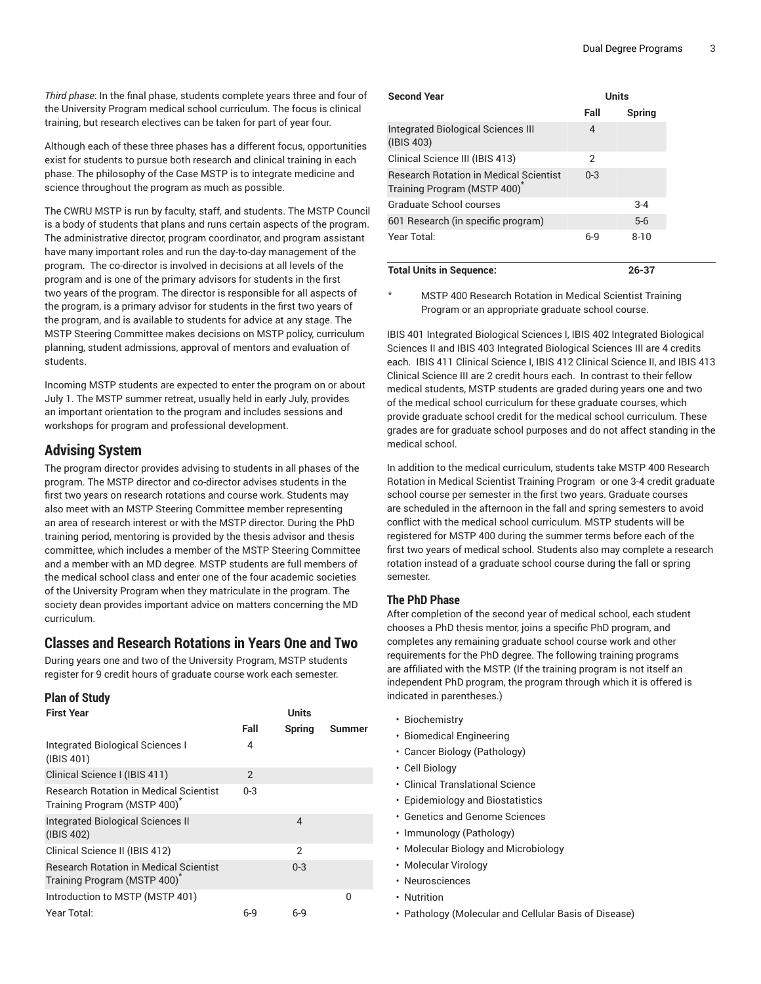*Third phase*: In the final phase, students complete years three and four of the University Program medical school curriculum. The focus is clinical training, but research electives can be taken for part of year four.

Although each of these three phases has a different focus, opportunities exist for students to pursue both research and clinical training in each phase. The philosophy of the Case MSTP is to integrate medicine and science throughout the program as much as possible.

The CWRU MSTP is run by faculty, staff, and students. The MSTP Council is a body of students that plans and runs certain aspects of the program. The administrative director, program coordinator, and program assistant have many important roles and run the day-to-day management of the program. The co-director is involved in decisions at all levels of the program and is one of the primary advisors for students in the first two years of the program. The director is responsible for all aspects of the program, is a primary advisor for students in the first two years of the program, and is available to students for advice at any stage. The MSTP Steering Committee makes decisions on MSTP policy, curriculum planning, student admissions, approval of mentors and evaluation of students.

Incoming MSTP students are expected to enter the program on or about July 1. The MSTP summer retreat, usually held in early July, provides an important orientation to the program and includes sessions and workshops for program and professional development.

### **Advising System**

The program director provides advising to students in all phases of the program. The MSTP director and co-director advises students in the first two years on research rotations and course work. Students may also meet with an MSTP Steering Committee member representing an area of research interest or with the MSTP director. During the PhD training period, mentoring is provided by the thesis advisor and thesis committee, which includes a member of the MSTP Steering Committee and a member with an MD degree. MSTP students are full members of the medical school class and enter one of the four academic societies of the University Program when they matriculate in the program. The society dean provides important advice on matters concerning the MD curriculum.

### **Classes and Research Rotations in Years One and Two**

During years one and two of the University Program, MSTP students register for 9 credit hours of graduate course work each semester.

| <b>Plan of Study</b>                                                                      |         |         |              |
|-------------------------------------------------------------------------------------------|---------|---------|--------------|
| <b>First Year</b>                                                                         | Units   |         |              |
|                                                                                           | Fall    | Spring  | Summer       |
| Integrated Biological Sciences I<br>(IBIS 401)                                            | 4       |         |              |
| Clinical Science I (IBIS 411)                                                             | 2       |         |              |
| <b>Research Rotation in Medical Scientist</b><br>Training Program (MSTP 400) <sup>*</sup> | $0 - 3$ |         |              |
| <b>Integrated Biological Sciences II</b><br>(IBIS 402)                                    |         | 4       |              |
| Clinical Science II (IBIS 412)                                                            |         | 2       |              |
| <b>Research Rotation in Medical Scientist</b><br>Training Program (MSTP 400) <sup>*</sup> |         | $0 - 3$ |              |
| Introduction to MSTP (MSTP 401)                                                           |         |         | <sup>0</sup> |
| Year Total:                                                                               | 6-9     | 6-9     |              |

| <b>Second Year</b>                                                           | <b>Units</b> |          |  |
|------------------------------------------------------------------------------|--------------|----------|--|
|                                                                              | Fall         | Spring   |  |
| Integrated Biological Sciences III<br>(IBIS 403)                             | 4            |          |  |
| Clinical Science III (IBIS 413)                                              | 2            |          |  |
| <b>Research Rotation in Medical Scientist</b><br>Training Program (MSTP 400) | $0 - 3$      |          |  |
| Graduate School courses                                                      |              | $3 - 4$  |  |
| 601 Research (in specific program)                                           |              | $5-6$    |  |
| Year Total:                                                                  | $6-9$        | $8 - 10$ |  |
| <b>Total Units in Sequence:</b>                                              |              | 26-37    |  |

MSTP 400 Research Rotation in Medical Scientist Training Program or an appropriate graduate school course.

IBIS 401 Integrated Biological Sciences I, IBIS 402 Integrated Biological Sciences II and IBIS 403 Integrated Biological Sciences III are 4 credits each. IBIS 411 Clinical Science I, IBIS 412 Clinical Science II, and IBIS 413 Clinical Science III are 2 credit hours each. In contrast to their fellow medical students, MSTP students are graded during years one and two of the medical school curriculum for these graduate courses, which provide graduate school credit for the medical school curriculum. These grades are for graduate school purposes and do not affect standing in the medical school.

In addition to the medical curriculum, students take MSTP 400 Research Rotation in Medical Scientist Training Program or one 3-4 credit graduate school course per semester in the first two years. Graduate courses are scheduled in the afternoon in the fall and spring semesters to avoid conflict with the medical school curriculum. MSTP students will be registered for MSTP 400 during the summer terms before each of the first two years of medical school. Students also may complete a research rotation instead of a graduate school course during the fall or spring semester.

#### **The PhD Phase**

After completion of the second year of medical school, each student chooses a PhD thesis mentor, joins a specific PhD program, and completes any remaining graduate school course work and other requirements for the PhD degree. The following training programs are affiliated with the MSTP. (If the training program is not itself an independent PhD program, the program through which it is offered is indicated in parentheses.)

- Biochemistry
- Biomedical Engineering
- Cancer Biology (Pathology)
- Cell Biology
- Clinical Translational Science
- Epidemiology and Biostatistics
- Genetics and Genome Sciences
- Immunology (Pathology)
- Molecular Biology and Microbiology
- Molecular Virology
- Neurosciences
- Nutrition
- Pathology (Molecular and Cellular Basis of Disease)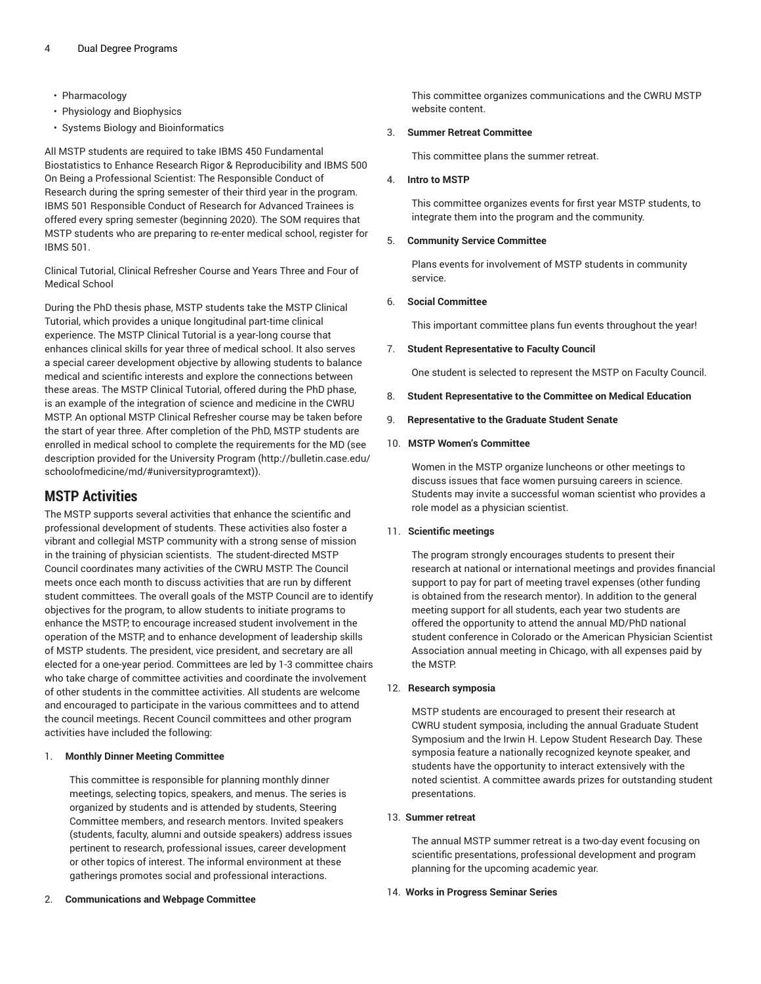- Pharmacology
- Physiology and Biophysics
- Systems Biology and Bioinformatics

All MSTP students are required to take IBMS 450 Fundamental Biostatistics to Enhance Research Rigor & Reproducibility and IBMS 500 On Being a Professional Scientist: The Responsible Conduct of Research during the spring semester of their third year in the program. IBMS 501 Responsible Conduct of Research for Advanced Trainees is offered every spring semester (beginning 2020). The SOM requires that MSTP students who are preparing to re-enter medical school, register for IBMS 501.

Clinical Tutorial, Clinical Refresher Course and Years Three and Four of Medical School

During the PhD thesis phase, MSTP students take the MSTP Clinical Tutorial, which provides a unique longitudinal part-time clinical experience. The MSTP Clinical Tutorial is a year-long course that enhances clinical skills for year three of medical school. It also serves a special career development objective by allowing students to balance medical and scientific interests and explore the connections between these areas. The MSTP Clinical Tutorial, offered during the PhD phase, is an example of the integration of science and medicine in the CWRU MSTP. An optional MSTP Clinical Refresher course may be taken before the start of year three. After completion of the PhD, MSTP students are enrolled in medical school to complete the requirements for the MD [\(see](http://bulletin.case.edu/schoolofmedicine/md/#universityprogramtext) [description](http://bulletin.case.edu/schoolofmedicine/md/#universityprogramtext) provided for the University Program [\(http://bulletin.case.edu/](http://bulletin.case.edu/schoolofmedicine/md/#universityprogramtext) [schoolofmedicine/md/#universityprogramtext](http://bulletin.case.edu/schoolofmedicine/md/#universityprogramtext))).

### **MSTP Activities**

The MSTP supports several activities that enhance the scientific and professional development of students. These activities also foster a vibrant and collegial MSTP community with a strong sense of mission in the training of physician scientists. The student-directed MSTP Council coordinates many activities of the CWRU MSTP. The Council meets once each month to discuss activities that are run by different student committees. The overall goals of the MSTP Council are to identify objectives for the program, to allow students to initiate programs to enhance the MSTP, to encourage increased student involvement in the operation of the MSTP, and to enhance development of leadership skills of MSTP students. The president, vice president, and secretary are all elected for a one-year period. Committees are led by 1-3 committee chairs who take charge of committee activities and coordinate the involvement of other students in the committee activities. All students are welcome and encouraged to participate in the various committees and to attend the council meetings. Recent Council committees and other program activities have included the following:

#### 1. **Monthly Dinner Meeting Committee**

This committee is responsible for planning monthly dinner meetings, selecting topics, speakers, and menus. The series is organized by students and is attended by students, Steering Committee members, and research mentors. Invited speakers (students, faculty, alumni and outside speakers) address issues pertinent to research, professional issues, career development or other topics of interest. The informal environment at these gatherings promotes social and professional interactions.

2. **Communications and Webpage Committee**

This committee organizes communications and the CWRU MSTP website content.

#### 3. **Summer Retreat Committee**

This committee plans the summer retreat.

#### 4. **Intro to MSTP**

This committee organizes events for first year MSTP students, to integrate them into the program and the community.

#### 5. **Community Service Committee**

Plans events for involvement of MSTP students in community service.

#### 6. **Social Committee**

This important committee plans fun events throughout the year!

#### 7. **Student Representative to Faculty Council**

One student is selected to represent the MSTP on Faculty Council.

8. **Student Representative to the Committee on Medical Education**

#### 9. **Representative to the Graduate Student Senate**

#### 10. **MSTP Women's Committee**

Women in the MSTP organize luncheons or other meetings to discuss issues that face women pursuing careers in science. Students may invite a successful woman scientist who provides a role model as a physician scientist.

#### 11.  **Scientific meetings**

The program strongly encourages students to present their research at national or international meetings and provides financial support to pay for part of meeting travel expenses (other funding is obtained from the research mentor). In addition to the general meeting support for all students, each year two students are offered the opportunity to attend the annual MD/PhD national student conference in Colorado or the American Physician Scientist Association annual meeting in Chicago, with all expenses paid by the MSTP.

#### 12.  **Research symposia**

MSTP students are encouraged to present their research at CWRU student symposia, including the annual Graduate Student Symposium and the Irwin H. Lepow Student Research Day. These symposia feature a nationally recognized keynote speaker, and students have the opportunity to interact extensively with the noted scientist. A committee awards prizes for outstanding student presentations.

#### 13. **Summer retreat**

The annual MSTP summer retreat is a two-day event focusing on scientific presentations, professional development and program planning for the upcoming academic year.

#### 14. **Works in Progress Seminar Series**